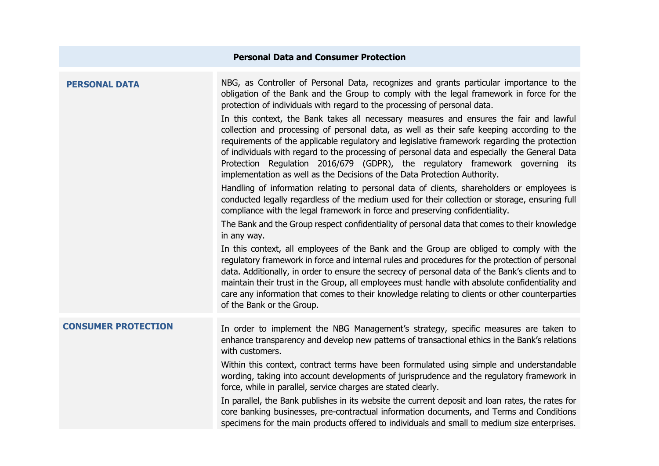| <b>Personal Data and Consumer Protection</b> |                                                                                                                                                                                                                                                                                                                                                                                                                                                                                                                                                                                                                                                                                                                                                                                                                                                                                                                                                                                                                                                                                                                                                                                                                                                                                                                                                                                                                                                                                                                                                                                                                                                                                                                                                           |
|----------------------------------------------|-----------------------------------------------------------------------------------------------------------------------------------------------------------------------------------------------------------------------------------------------------------------------------------------------------------------------------------------------------------------------------------------------------------------------------------------------------------------------------------------------------------------------------------------------------------------------------------------------------------------------------------------------------------------------------------------------------------------------------------------------------------------------------------------------------------------------------------------------------------------------------------------------------------------------------------------------------------------------------------------------------------------------------------------------------------------------------------------------------------------------------------------------------------------------------------------------------------------------------------------------------------------------------------------------------------------------------------------------------------------------------------------------------------------------------------------------------------------------------------------------------------------------------------------------------------------------------------------------------------------------------------------------------------------------------------------------------------------------------------------------------------|
| <b>PERSONAL DATA</b>                         | NBG, as Controller of Personal Data, recognizes and grants particular importance to the<br>obligation of the Bank and the Group to comply with the legal framework in force for the<br>protection of individuals with regard to the processing of personal data.<br>In this context, the Bank takes all necessary measures and ensures the fair and lawful<br>collection and processing of personal data, as well as their safe keeping according to the<br>requirements of the applicable regulatory and legislative framework regarding the protection<br>of individuals with regard to the processing of personal data and especially the General Data<br>Protection Regulation 2016/679 (GDPR), the regulatory framework governing its<br>implementation as well as the Decisions of the Data Protection Authority.<br>Handling of information relating to personal data of clients, shareholders or employees is<br>conducted legally regardless of the medium used for their collection or storage, ensuring full<br>compliance with the legal framework in force and preserving confidentiality.<br>The Bank and the Group respect confidentiality of personal data that comes to their knowledge<br>in any way.<br>In this context, all employees of the Bank and the Group are obliged to comply with the<br>regulatory framework in force and internal rules and procedures for the protection of personal<br>data. Additionally, in order to ensure the secrecy of personal data of the Bank's clients and to<br>maintain their trust in the Group, all employees must handle with absolute confidentiality and<br>care any information that comes to their knowledge relating to clients or other counterparties<br>of the Bank or the Group. |
| <b>CONSUMER PROTECTION</b>                   | In order to implement the NBG Management's strategy, specific measures are taken to<br>enhance transparency and develop new patterns of transactional ethics in the Bank's relations<br>with customers.<br>Within this context, contract terms have been formulated using simple and understandable<br>wording, taking into account developments of jurisprudence and the regulatory framework in<br>force, while in parallel, service charges are stated clearly.<br>In parallel, the Bank publishes in its website the current deposit and loan rates, the rates for<br>core banking businesses, pre-contractual information documents, and Terms and Conditions<br>specimens for the main products offered to individuals and small to medium size enterprises.                                                                                                                                                                                                                                                                                                                                                                                                                                                                                                                                                                                                                                                                                                                                                                                                                                                                                                                                                                                        |